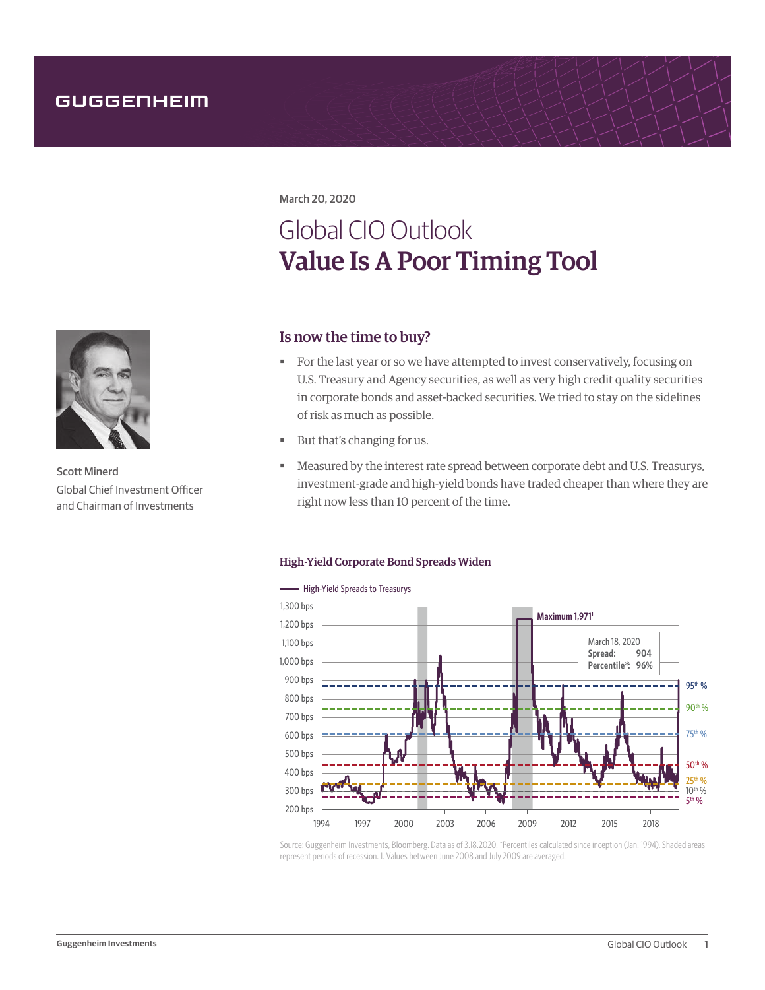March 20, 2020

# Global CIO Outlook Value Is A Poor Timing Tool

# Is now the time to buy?

- For the last year or so we have attempted to invest conservatively, focusing on U.S. Treasury and Agency securities, as well as very high credit quality securities in corporate bonds and asset-backed securities. We tried to stay on the sidelines of risk as much as possible.
- But that's changing for us.
- Measured by the interest rate spread between corporate debt and U.S. Treasurys, investment-grade and high-yield bonds have traded cheaper than where they are right now less than 10 percent of the time.

### High-Yield Corporate Bond Spreads Widen



Source: Guggenheim Investments, Bloomberg. Data as of 3.18.2020. \*Percentiles calculated since inception (Jan. 1994). Shaded areas represent periods of recession. 1. Values between June 2008 and July 2009 are averaged.



Scott Minerd Global Chief Investment Officer and Chairman of Investments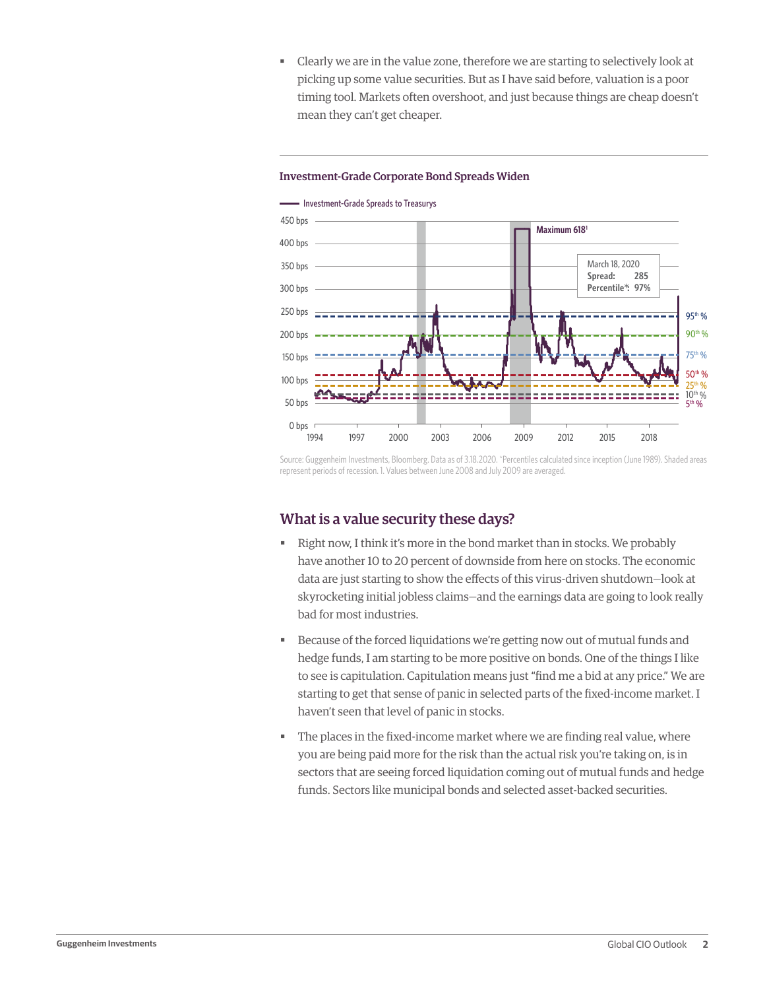Clearly we are in the value zone, therefore we are starting to selectively look at picking up some value securities. But as I have said before, valuation is a poor timing tool. Markets often overshoot, and just because things are cheap doesn't mean they can't get cheaper.

#### Investment-Grade Corporate Bond Spreads Widen

 $\longrightarrow$  Investment-Grade Spreads to Treasurys



Source: Guggenheim Investments, Bloomberg. Data as of 3.18.2020. \*Percentiles calculated since inception (June 1989). Shaded areas represent periods of recession. 1. Values between June 2008 and July 2009 are averaged.

## What is a value security these days?

- Kight now, I think it's more in the bond market than in stocks. We probably have another 10 to 20 percent of downside from here on stocks. The economic data are just starting to show the effects of this virus-driven shutdown—look at skyrocketing initial jobless claims—and the earnings data are going to look really bad for most industries.
- Because of the forced liquidations we're getting now out of mutual funds and hedge funds, I am starting to be more positive on bonds. One of the things I like to see is capitulation. Capitulation means just "find me a bid at any price." We are starting to get that sense of panic in selected parts of the fixed-income market. I haven't seen that level of panic in stocks.
- The places in the fixed-income market where we are finding real value, where you are being paid more for the risk than the actual risk you're taking on, is in sectors that are seeing forced liquidation coming out of mutual funds and hedge funds. Sectors like municipal bonds and selected asset-backed securities.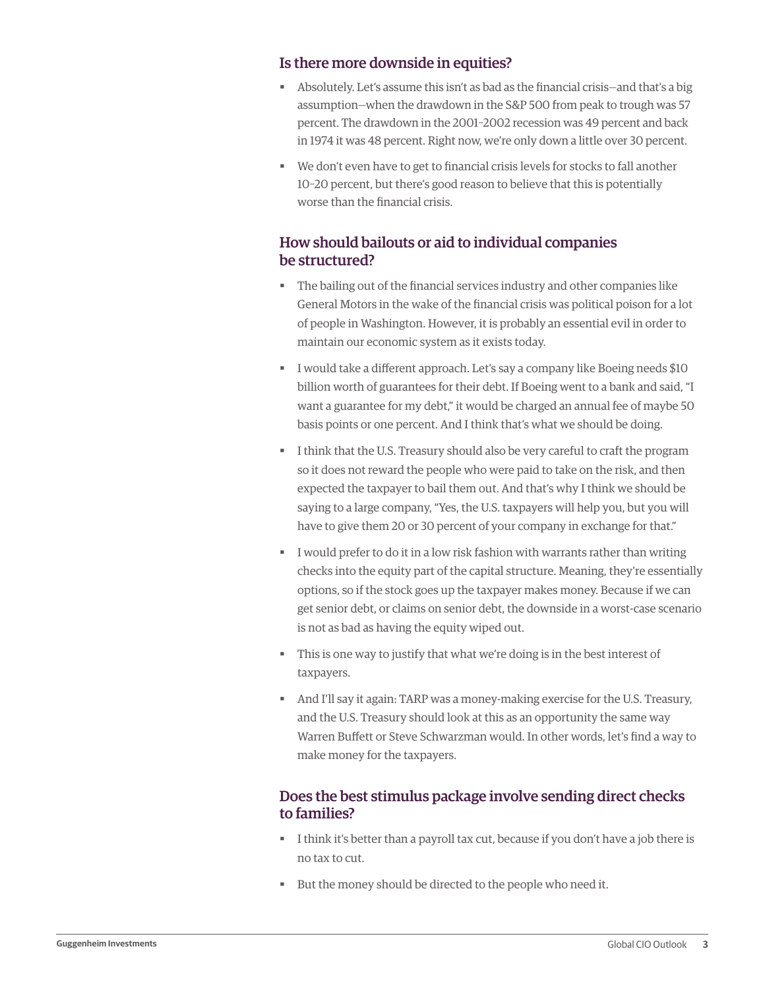# Is there more downside in equities?

- Absolutely. Let's assume this isn't as bad as the financial crisis—and that's a big assumption—when the drawdown in the S&P 500 from peak to trough was 57 percent. The drawdown in the 2001–2002 recession was 49 percent and back in 1974 it was 48 percent. Right now, we're only down a little over 30 percent.
- We don't even have to get to financial crisis levels for stocks to fall another 10–20 percent, but there's good reason to believe that this is potentially worse than the financial crisis.

# How should bailouts or aid to individual companies be structured?

- The bailing out of the financial services industry and other companies like General Motors in the wake of the financial crisis was political poison for a lot of people in Washington. However, it is probably an essential evil in order to maintain our economic system as it exists today.
- **I** would take a different approach. Let's say a company like Boeing needs \$10 billion worth of guarantees for their debt. If Boeing went to a bank and said, "I want a guarantee for my debt," it would be charged an annual fee of maybe 50 basis points or one percent. And I think that's what we should be doing.
- I think that the U.S. Treasury should also be very careful to craft the program so it does not reward the people who were paid to take on the risk, and then expected the taxpayer to bail them out. And that's why I think we should be saying to a large company, "Yes, the U.S. taxpayers will help you, but you will have to give them 20 or 30 percent of your company in exchange for that."
- I would prefer to do it in a low risk fashion with warrants rather than writing checks into the equity part of the capital structure. Meaning, they're essentially options, so if the stock goes up the taxpayer makes money. Because if we can get senior debt, or claims on senior debt, the downside in a worst-case scenario is not as bad as having the equity wiped out.
- This is one way to justify that what we're doing is in the best interest of taxpayers.
- And I'll say it again: TARP was a money-making exercise for the U.S. Treasury, and the U.S. Treasury should look at this as an opportunity the same way Warren Buffett or Steve Schwarzman would. In other words, let's find a way to make money for the taxpayers.

# Does the best stimulus package involve sending direct checks to families?

- I think it's better than a payroll tax cut, because if you don't have a job there is no tax to cut.
- But the money should be directed to the people who need it.